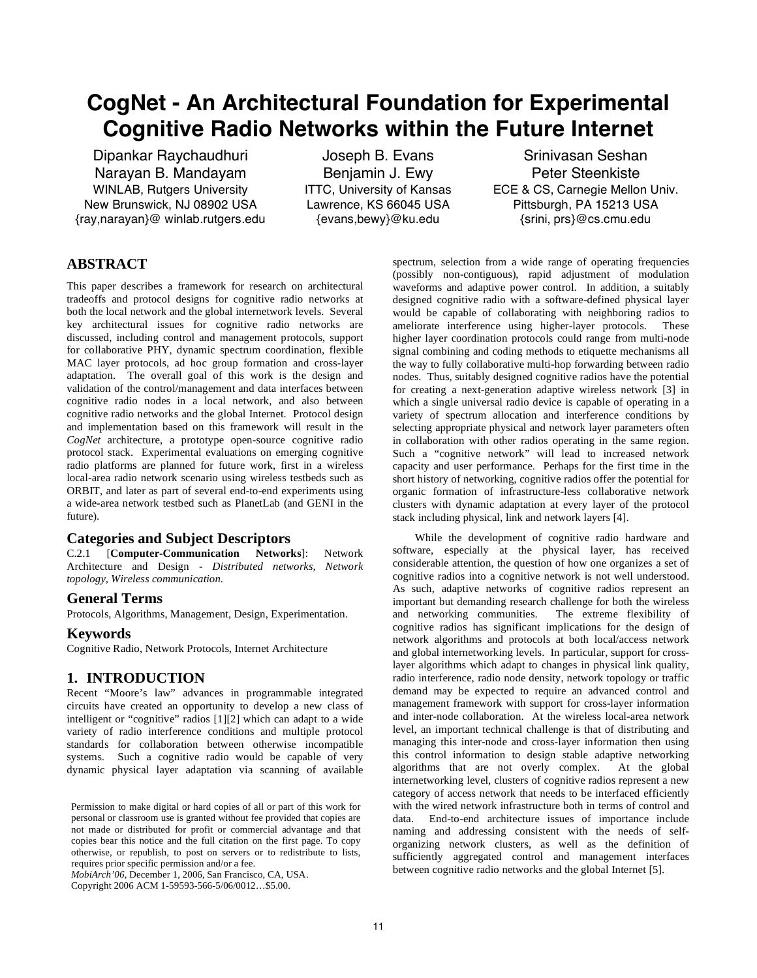# **CogNet - An Architectural Foundation for Experimental Cognitive Radio Networks within the Future Internet**

Dipankar Raychaudhuri Narayan B. Mandayam WINLAB, Rutgers University New Brunswick, NJ 08902 USA {ray,narayan}@ winlab.rutgers.edu

Joseph B. Evans Benjamin J. Ewy ITTC, University of Kansas Lawrence, KS 66045 USA {evans,bewy}@ku.edu

Srinivasan Seshan Peter Steenkiste ECE & CS, Carnegie Mellon Univ. Pittsburgh, PA 15213 USA {srini, prs}@cs.cmu.edu

# **ABSTRACT**

This paper describes a framework for research on architectural tradeoffs and protocol designs for cognitive radio networks at both the local network and the global internetwork levels. Several key architectural issues for cognitive radio networks are discussed, including control and management protocols, support for collaborative PHY, dynamic spectrum coordination, flexible MAC layer protocols, ad hoc group formation and cross-layer adaptation. The overall goal of this work is the design and validation of the control/management and data interfaces between cognitive radio nodes in a local network, and also between cognitive radio networks and the global Internet. Protocol design and implementation based on this framework will result in the *CogNet* architecture, a prototype open-source cognitive radio protocol stack. Experimental evaluations on emerging cognitive radio platforms are planned for future work, first in a wireless local-area radio network scenario using wireless testbeds such as ORBIT, and later as part of several end-to-end experiments using a wide-area network testbed such as PlanetLab (and GENI in the future).

# **Categories and Subject Descriptors**

C.2.1 [**Computer-Communication Networks**]: Network Architecture and Design - *Distributed networks, Network topology, Wireless communication.*

# **General Terms**

Protocols, Algorithms, Management, Design, Experimentation.

# **Keywords**

Cognitive Radio, Network Protocols, Internet Architecture

# **1. INTRODUCTION**

Recent "Moore's law" advances in programmable integrated circuits have created an opportunity to develop a new class of intelligent or "cognitive" radios [1][2] which can adapt to a wide variety of radio interference conditions and multiple protocol standards for collaboration between otherwise incompatible systems. Such a cognitive radio would be capable of very dynamic physical layer adaptation via scanning of available

*MobiArch'06*, December 1, 2006, San Francisco, CA, USA.

Copyright 2006 ACM 1-59593-566-5/06/0012…\$5.00.

spectrum, selection from a wide range of operating frequencies (possibly non-contiguous), rapid adjustment of modulation waveforms and adaptive power control. In addition, a suitably designed cognitive radio with a software-defined physical layer would be capable of collaborating with neighboring radios to ameliorate interference using higher-layer protocols. These higher layer coordination protocols could range from multi-node signal combining and coding methods to etiquette mechanisms all the way to fully collaborative multi-hop forwarding between radio nodes. Thus, suitably designed cognitive radios have the potential for creating a next-generation adaptive wireless network [3] in which a single universal radio device is capable of operating in a variety of spectrum allocation and interference conditions by selecting appropriate physical and network layer parameters often in collaboration with other radios operating in the same region. Such a "cognitive network" will lead to increased network capacity and user performance. Perhaps for the first time in the short history of networking, cognitive radios offer the potential for organic formation of infrastructure-less collaborative network clusters with dynamic adaptation at every layer of the protocol stack including physical, link and network layers [4].

While the development of cognitive radio hardware and software, especially at the physical layer, has received considerable attention, the question of how one organizes a set of cognitive radios into a cognitive network is not well understood. As such, adaptive networks of cognitive radios represent an important but demanding research challenge for both the wireless and networking communities. The extreme flexibility of cognitive radios has significant implications for the design of network algorithms and protocols at both local/access network and global internetworking levels. In particular, support for crosslayer algorithms which adapt to changes in physical link quality, radio interference, radio node density, network topology or traffic demand may be expected to require an advanced control and management framework with support for cross-layer information and inter-node collaboration. At the wireless local-area network level, an important technical challenge is that of distributing and managing this inter-node and cross-layer information then using this control information to design stable adaptive networking algorithms that are not overly complex. At the global internetworking level, clusters of cognitive radios represent a new category of access network that needs to be interfaced efficiently with the wired network infrastructure both in terms of control and data. End-to-end architecture issues of importance include naming and addressing consistent with the needs of selforganizing network clusters, as well as the definition of sufficiently aggregated control and management interfaces between cognitive radio networks and the global Internet [5].

Permission to make digital or hard copies of all or part of this work for personal or classroom use is granted without fee provided that copies are not made or distributed for profit or commercial advantage and that copies bear this notice and the full citation on the first page. To copy otherwise, or republish, to post on servers or to redistribute to lists, requires prior specific permission and/or a fee.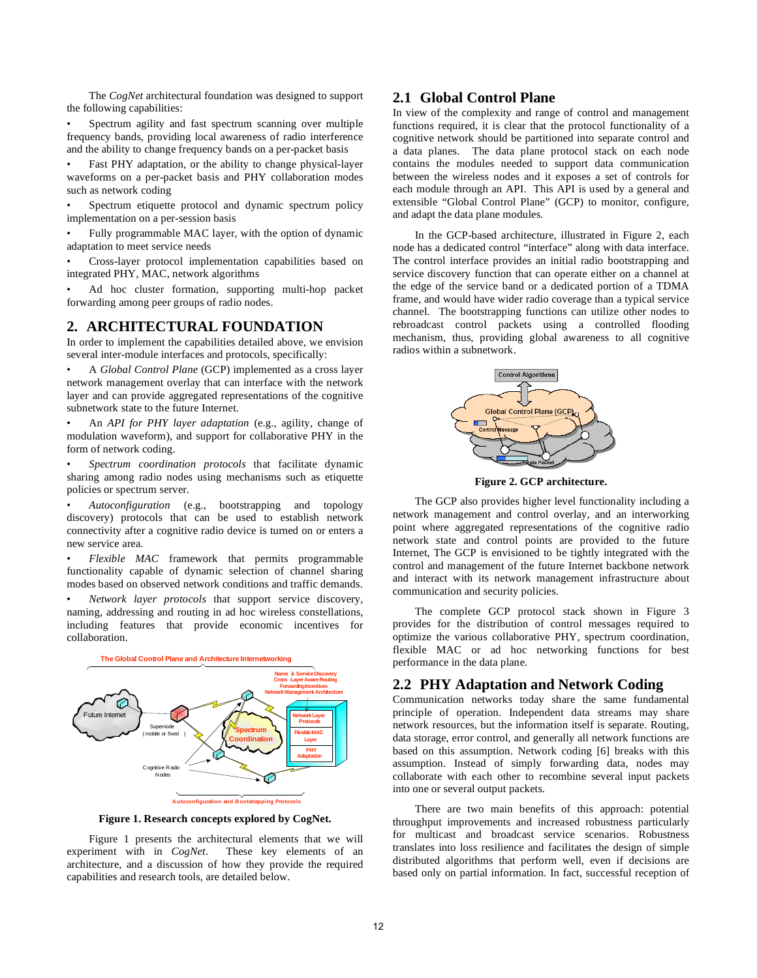The *CogNet* architectural foundation was designed to support the following capabilities:

Spectrum agility and fast spectrum scanning over multiple frequency bands, providing local awareness of radio interference and the ability to change frequency bands on a per-packet basis

Fast PHY adaptation, or the ability to change physical-layer waveforms on a per-packet basis and PHY collaboration modes such as network coding

Spectrum etiquette protocol and dynamic spectrum policy implementation on a per-session basis

• Fully programmable MAC layer, with the option of dynamic adaptation to meet service needs

• Cross-layer protocol implementation capabilities based on integrated PHY, MAC, network algorithms

• Ad hoc cluster formation, supporting multi-hop packet forwarding among peer groups of radio nodes.

# **2. ARCHITECTURAL FOUNDATION**

In order to implement the capabilities detailed above, we envision several inter-module interfaces and protocols, specifically:

• A *Global Control Plane* (GCP) implemented as a cross layer network management overlay that can interface with the network layer and can provide aggregated representations of the cognitive subnetwork state to the future Internet.

• An *API for PHY layer adaptation* (e.g., agility, change of modulation waveform), and support for collaborative PHY in the form of network coding.

• *Spectrum coordination protocols* that facilitate dynamic sharing among radio nodes using mechanisms such as etiquette policies or spectrum server.

• *Autoconfiguration* (e.g., bootstrapping and topology discovery) protocols that can be used to establish network connectivity after a cognitive radio device is turned on or enters a new service area.

• *Flexible MAC* framework that permits programmable functionality capable of dynamic selection of channel sharing modes based on observed network conditions and traffic demands.

• *Network layer protocols* that support service discovery, naming, addressing and routing in ad hoc wireless constellations, including features that provide economic incentives for collaboration.



**Figure 1. Research concepts explored by CogNet.**

Figure 1 presents the architectural elements that we will experiment with in *CogNet*. These key elements of an architecture, and a discussion of how they provide the required capabilities and research tools, are detailed below.

# **2.1 Global Control Plane**

In view of the complexity and range of control and management functions required, it is clear that the protocol functionality of a cognitive network should be partitioned into separate control and a data planes. The data plane protocol stack on each node contains the modules needed to support data communication between the wireless nodes and it exposes a set of controls for each module through an API. This API is used by a general and extensible "Global Control Plane" (GCP) to monitor, configure, and adapt the data plane modules.

In the GCP-based architecture, illustrated in Figure 2, each node has a dedicated control "interface" along with data interface. The control interface provides an initial radio bootstrapping and service discovery function that can operate either on a channel at the edge of the service band or a dedicated portion of a TDMA frame, and would have wider radio coverage than a typical service channel. The bootstrapping functions can utilize other nodes to rebroadcast control packets using a controlled flooding mechanism, thus, providing global awareness to all cognitive radios within a subnetwork.



**Figure 2. GCP architecture.**

The GCP also provides higher level functionality including a network management and control overlay, and an interworking point where aggregated representations of the cognitive radio network state and control points are provided to the future Internet, The GCP is envisioned to be tightly integrated with the control and management of the future Internet backbone network and interact with its network management infrastructure about communication and security policies.

The complete GCP protocol stack shown in Figure 3 provides for the distribution of control messages required to optimize the various collaborative PHY, spectrum coordination, flexible MAC or ad hoc networking functions for best performance in the data plane.

# **2.2 PHY Adaptation and Network Coding**

Communication networks today share the same fundamental principle of operation. Independent data streams may share network resources, but the information itself is separate. Routing, data storage, error control, and generally all network functions are based on this assumption. Network coding [6] breaks with this assumption. Instead of simply forwarding data, nodes may collaborate with each other to recombine several input packets into one or several output packets.

There are two main benefits of this approach: potential throughput improvements and increased robustness particularly for multicast and broadcast service scenarios. Robustness translates into loss resilience and facilitates the design of simple distributed algorithms that perform well, even if decisions are based only on partial information. In fact, successful reception of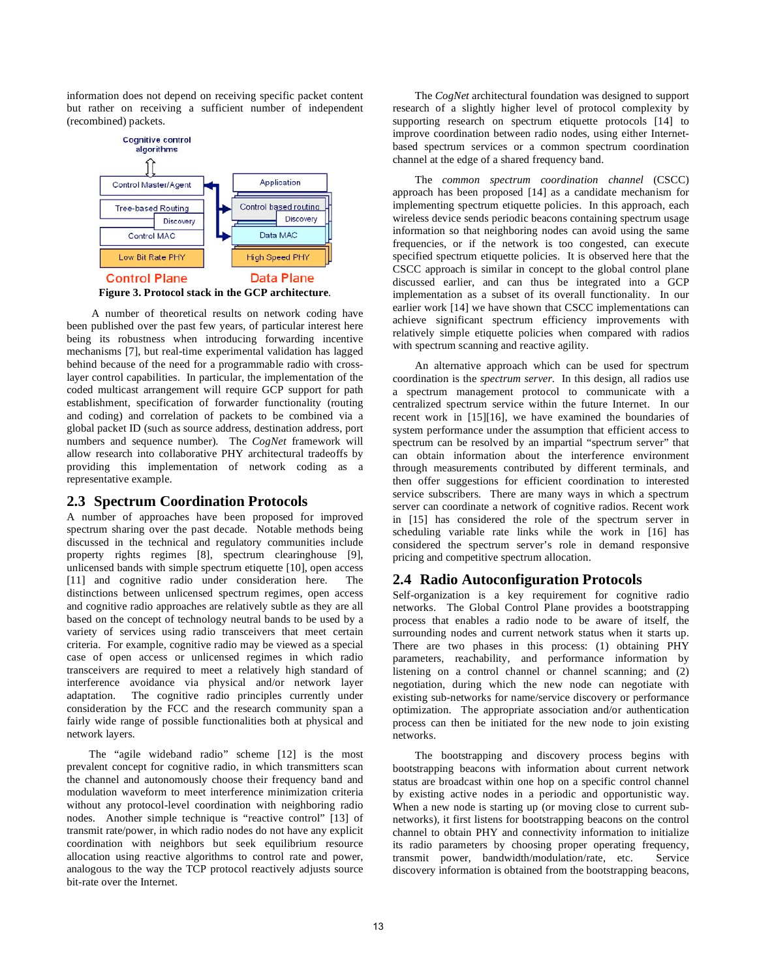information does not depend on receiving specific packet content but rather on receiving a sufficient number of independent (recombined) packets.



A number of theoretical results on network coding have been published over the past few years, of particular interest here being its robustness when introducing forwarding incentive mechanisms [7], but real-time experimental validation has lagged behind because of the need for a programmable radio with crosslayer control capabilities. In particular, the implementation of the coded multicast arrangement will require GCP support for path establishment, specification of forwarder functionality (routing and coding) and correlation of packets to be combined via a global packet ID (such as source address, destination address, port numbers and sequence number). The *CogNet* framework will allow research into collaborative PHY architectural tradeoffs by providing this implementation of network coding as a representative example.

# **2.3 Spectrum Coordination Protocols**

A number of approaches have been proposed for improved spectrum sharing over the past decade. Notable methods being discussed in the technical and regulatory communities include property rights regimes [8], spectrum clearinghouse [9], unlicensed bands with simple spectrum etiquette [10], open access [11] and cognitive radio under consideration here. The distinctions between unlicensed spectrum regimes, open access and cognitive radio approaches are relatively subtle as they are all based on the concept of technology neutral bands to be used by a variety of services using radio transceivers that meet certain criteria. For example, cognitive radio may be viewed as a special case of open access or unlicensed regimes in which radio transceivers are required to meet a relatively high standard of interference avoidance via physical and/or network layer adaptation. The cognitive radio principles currently under consideration by the FCC and the research community span a fairly wide range of possible functionalities both at physical and network layers.

The "agile wideband radio" scheme [12] is the most prevalent concept for cognitive radio, in which transmitters scan the channel and autonomously choose their frequency band and modulation waveform to meet interference minimization criteria without any protocol-level coordination with neighboring radio nodes. Another simple technique is "reactive control" [13] of transmit rate/power, in which radio nodes do not have any explicit coordination with neighbors but seek equilibrium resource allocation using reactive algorithms to control rate and power, analogous to the way the TCP protocol reactively adjusts source bit-rate over the Internet.

The *CogNet* architectural foundation was designed to support research of a slightly higher level of protocol complexity by supporting research on spectrum etiquette protocols [14] to improve coordination between radio nodes, using either Internetbased spectrum services or a common spectrum coordination channel at the edge of a shared frequency band.

The *common spectrum coordination channel* (CSCC) approach has been proposed [14] as a candidate mechanism for implementing spectrum etiquette policies. In this approach, each wireless device sends periodic beacons containing spectrum usage information so that neighboring nodes can avoid using the same frequencies, or if the network is too congested, can execute specified spectrum etiquette policies. It is observed here that the CSCC approach is similar in concept to the global control plane discussed earlier, and can thus be integrated into a GCP implementation as a subset of its overall functionality. In our earlier work [14] we have shown that CSCC implementations can achieve significant spectrum efficiency improvements with relatively simple etiquette policies when compared with radios with spectrum scanning and reactive agility.

An alternative approach which can be used for spectrum coordination is the *spectrum server*. In this design, all radios use a spectrum management protocol to communicate with a centralized spectrum service within the future Internet. In our recent work in [15][16], we have examined the boundaries of system performance under the assumption that efficient access to spectrum can be resolved by an impartial "spectrum server" that can obtain information about the interference environment through measurements contributed by different terminals, and then offer suggestions for efficient coordination to interested service subscribers. There are many ways in which a spectrum server can coordinate a network of cognitive radios. Recent work in [15] has considered the role of the spectrum server in scheduling variable rate links while the work in [16] has considered the spectrum server's role in demand responsive pricing and competitive spectrum allocation.

# **2.4 Radio Autoconfiguration Protocols**

Self-organization is a key requirement for cognitive radio networks. The Global Control Plane provides a bootstrapping process that enables a radio node to be aware of itself, the surrounding nodes and current network status when it starts up. There are two phases in this process: (1) obtaining PHY parameters, reachability, and performance information by listening on a control channel or channel scanning; and (2) negotiation, during which the new node can negotiate with existing sub-networks for name/service discovery or performance optimization. The appropriate association and/or authentication process can then be initiated for the new node to join existing networks.

The bootstrapping and discovery process begins with bootstrapping beacons with information about current network status are broadcast within one hop on a specific control channel by existing active nodes in a periodic and opportunistic way. When a new node is starting up (or moving close to current subnetworks), it first listens for bootstrapping beacons on the control channel to obtain PHY and connectivity information to initialize its radio parameters by choosing proper operating frequency, transmit power, bandwidth/modulation/rate, etc. Service discovery information is obtained from the bootstrapping beacons,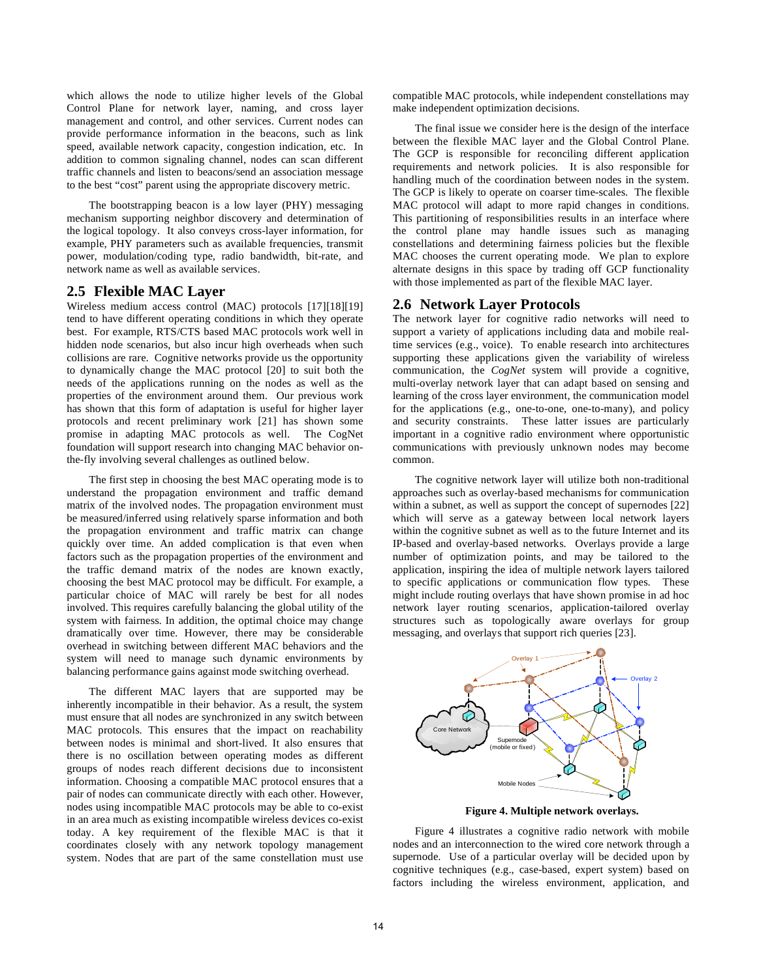which allows the node to utilize higher levels of the Global Control Plane for network layer, naming, and cross layer management and control, and other services. Current nodes can provide performance information in the beacons, such as link speed, available network capacity, congestion indication, etc. In addition to common signaling channel, nodes can scan different traffic channels and listen to beacons/send an association message to the best "cost" parent using the appropriate discovery metric.

The bootstrapping beacon is a low layer (PHY) messaging mechanism supporting neighbor discovery and determination of the logical topology. It also conveys cross-layer information, for example, PHY parameters such as available frequencies, transmit power, modulation/coding type, radio bandwidth, bit-rate, and network name as well as available services.

#### **2.5 Flexible MAC Layer**

Wireless medium access control (MAC) protocols [17][18][19] tend to have different operating conditions in which they operate best. For example, RTS/CTS based MAC protocols work well in hidden node scenarios, but also incur high overheads when such collisions are rare. Cognitive networks provide us the opportunity to dynamically change the MAC protocol [20] to suit both the needs of the applications running on the nodes as well as the properties of the environment around them. Our previous work has shown that this form of adaptation is useful for higher layer protocols and recent preliminary work [21] has shown some promise in adapting MAC protocols as well. The CogNet foundation will support research into changing MAC behavior onthe-fly involving several challenges as outlined below.

The first step in choosing the best MAC operating mode is to understand the propagation environment and traffic demand matrix of the involved nodes. The propagation environment must be measured/inferred using relatively sparse information and both the propagation environment and traffic matrix can change quickly over time. An added complication is that even when factors such as the propagation properties of the environment and the traffic demand matrix of the nodes are known exactly, choosing the best MAC protocol may be difficult. For example, a particular choice of MAC will rarely be best for all nodes involved. This requires carefully balancing the global utility of the system with fairness. In addition, the optimal choice may change dramatically over time. However, there may be considerable overhead in switching between different MAC behaviors and the system will need to manage such dynamic environments by balancing performance gains against mode switching overhead.

The different MAC layers that are supported may be inherently incompatible in their behavior. As a result, the system must ensure that all nodes are synchronized in any switch between MAC protocols. This ensures that the impact on reachability between nodes is minimal and short-lived. It also ensures that there is no oscillation between operating modes as different groups of nodes reach different decisions due to inconsistent information. Choosing a compatible MAC protocol ensures that a pair of nodes can communicate directly with each other. However, nodes using incompatible MAC protocols may be able to co-exist in an area much as existing incompatible wireless devices co-exist today. A key requirement of the flexible MAC is that it coordinates closely with any network topology management system. Nodes that are part of the same constellation must use

compatible MAC protocols, while independent constellations may make independent optimization decisions.

The final issue we consider here is the design of the interface between the flexible MAC layer and the Global Control Plane. The GCP is responsible for reconciling different application requirements and network policies. It is also responsible for handling much of the coordination between nodes in the system. The GCP is likely to operate on coarser time-scales. The flexible MAC protocol will adapt to more rapid changes in conditions. This partitioning of responsibilities results in an interface where the control plane may handle issues such as managing constellations and determining fairness policies but the flexible MAC chooses the current operating mode. We plan to explore alternate designs in this space by trading off GCP functionality with those implemented as part of the flexible MAC layer.

#### **2.6 Network Layer Protocols**

The network layer for cognitive radio networks will need to support a variety of applications including data and mobile realtime services (e.g., voice). To enable research into architectures supporting these applications given the variability of wireless communication, the *CogNet* system will provide a cognitive, multi-overlay network layer that can adapt based on sensing and learning of the cross layer environment, the communication model for the applications (e.g., one-to-one, one-to-many), and policy and security constraints. These latter issues are particularly important in a cognitive radio environment where opportunistic communications with previously unknown nodes may become common.

The cognitive network layer will utilize both non-traditional approaches such as overlay-based mechanisms for communication within a subnet, as well as support the concept of supernodes [22] which will serve as a gateway between local network layers within the cognitive subnet as well as to the future Internet and its IP-based and overlay-based networks. Overlays provide a large number of optimization points, and may be tailored to the application, inspiring the idea of multiple network layers tailored to specific applications or communication flow types. These might include routing overlays that have shown promise in ad hoc network layer routing scenarios, application-tailored overlay structures such as topologically aware overlays for group messaging, and overlays that support rich queries [23].



**Figure 4. Multiple network overlays.**

Figure 4 illustrates a cognitive radio network with mobile nodes and an interconnection to the wired core network through a supernode. Use of a particular overlay will be decided upon by cognitive techniques (e.g., case-based, expert system) based on factors including the wireless environment, application, and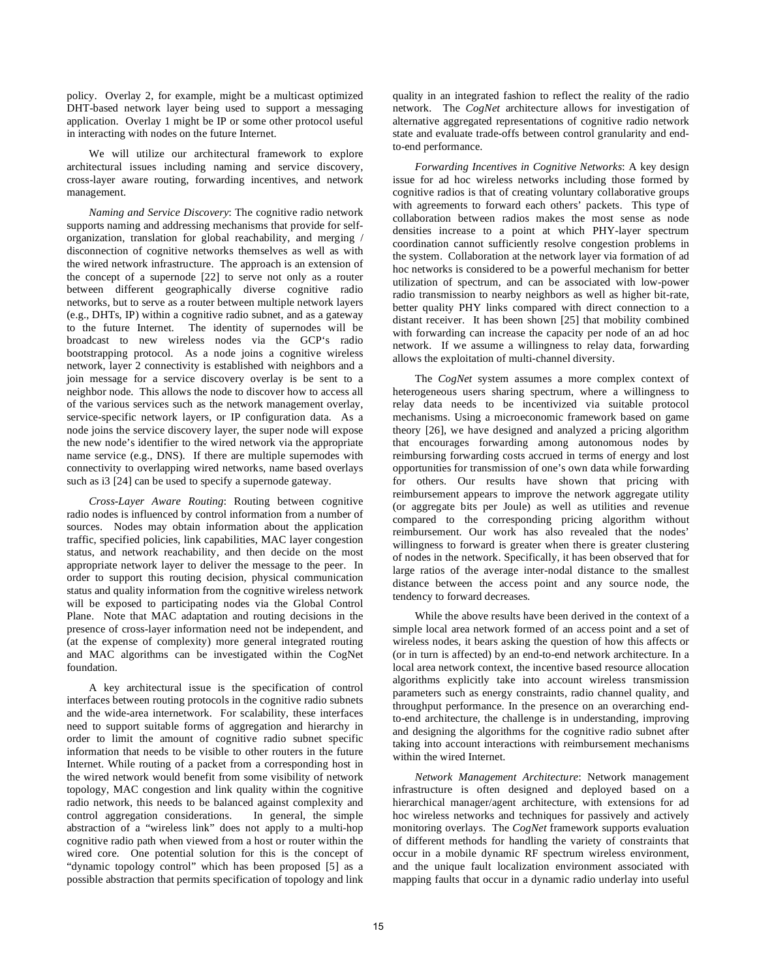policy. Overlay 2, for example, might be a multicast optimized DHT-based network layer being used to support a messaging application. Overlay 1 might be IP or some other protocol useful in interacting with nodes on the future Internet.

We will utilize our architectural framework to explore architectural issues including naming and service discovery, cross-layer aware routing, forwarding incentives, and network management.

*Naming and Service Discovery*: The cognitive radio network supports naming and addressing mechanisms that provide for selforganization, translation for global reachability, and merging / disconnection of cognitive networks themselves as well as with the wired network infrastructure. The approach is an extension of the concept of a supernode [22] to serve not only as a router between different geographically diverse cognitive radio networks, but to serve as a router between multiple network layers (e.g., DHTs, IP) within a cognitive radio subnet, and as a gateway to the future Internet. The identity of supernodes will be broadcast to new wireless nodes via the GCP's radio bootstrapping protocol. As a node joins a cognitive wireless network, layer 2 connectivity is established with neighbors and a join message for a service discovery overlay is be sent to a neighbor node. This allows the node to discover how to access all of the various services such as the network management overlay, service-specific network layers, or IP configuration data. As a node joins the service discovery layer, the super node will expose the new node's identifier to the wired network via the appropriate name service (e.g., DNS). If there are multiple supernodes with connectivity to overlapping wired networks, name based overlays such as i3 [24] can be used to specify a supernode gateway.

*Cross-Layer Aware Routing*: Routing between cognitive radio nodes is influenced by control information from a number of sources. Nodes may obtain information about the application traffic, specified policies, link capabilities, MAC layer congestion status, and network reachability, and then decide on the most appropriate network layer to deliver the message to the peer. In order to support this routing decision, physical communication status and quality information from the cognitive wireless network will be exposed to participating nodes via the Global Control Plane. Note that MAC adaptation and routing decisions in the presence of cross-layer information need not be independent, and (at the expense of complexity) more general integrated routing and MAC algorithms can be investigated within the CogNet foundation.

A key architectural issue is the specification of control interfaces between routing protocols in the cognitive radio subnets and the wide-area internetwork. For scalability, these interfaces need to support suitable forms of aggregation and hierarchy in order to limit the amount of cognitive radio subnet specific information that needs to be visible to other routers in the future Internet. While routing of a packet from a corresponding host in the wired network would benefit from some visibility of network topology, MAC congestion and link quality within the cognitive radio network, this needs to be balanced against complexity and control aggregation considerations. In general, the simple abstraction of a "wireless link" does not apply to a multi-hop cognitive radio path when viewed from a host or router within the wired core. One potential solution for this is the concept of "dynamic topology control" which has been proposed [5] as a possible abstraction that permits specification of topology and link

quality in an integrated fashion to reflect the reality of the radio network. The *CogNet* architecture allows for investigation of alternative aggregated representations of cognitive radio network state and evaluate trade-offs between control granularity and endto-end performance.

*Forwarding Incentives in Cognitive Networks*: A key design issue for ad hoc wireless networks including those formed by cognitive radios is that of creating voluntary collaborative groups with agreements to forward each others' packets. This type of collaboration between radios makes the most sense as node densities increase to a point at which PHY-layer spectrum coordination cannot sufficiently resolve congestion problems in the system. Collaboration at the network layer via formation of ad hoc networks is considered to be a powerful mechanism for better utilization of spectrum, and can be associated with low-power radio transmission to nearby neighbors as well as higher bit-rate, better quality PHY links compared with direct connection to a distant receiver. It has been shown [25] that mobility combined with forwarding can increase the capacity per node of an ad hoc network. If we assume a willingness to relay data, forwarding allows the exploitation of multi-channel diversity.

The *CogNet* system assumes a more complex context of heterogeneous users sharing spectrum, where a willingness to relay data needs to be incentivized via suitable protocol mechanisms. Using a microeconomic framework based on game theory [26], we have designed and analyzed a pricing algorithm that encourages forwarding among autonomous nodes by reimbursing forwarding costs accrued in terms of energy and lost opportunities for transmission of one's own data while forwarding for others. Our results have shown that pricing with reimbursement appears to improve the network aggregate utility (or aggregate bits per Joule) as well as utilities and revenue compared to the corresponding pricing algorithm without reimbursement. Our work has also revealed that the nodes' willingness to forward is greater when there is greater clustering of nodes in the network. Specifically, it has been observed that for large ratios of the average inter-nodal distance to the smallest distance between the access point and any source node, the tendency to forward decreases.

While the above results have been derived in the context of a simple local area network formed of an access point and a set of wireless nodes, it bears asking the question of how this affects or (or in turn is affected) by an end-to-end network architecture. In a local area network context, the incentive based resource allocation algorithms explicitly take into account wireless transmission parameters such as energy constraints, radio channel quality, and throughput performance. In the presence on an overarching endto-end architecture, the challenge is in understanding, improving and designing the algorithms for the cognitive radio subnet after taking into account interactions with reimbursement mechanisms within the wired Internet.

*Network Management Architecture*: Network management infrastructure is often designed and deployed based on a hierarchical manager/agent architecture, with extensions for ad hoc wireless networks and techniques for passively and actively monitoring overlays. The *CogNet* framework supports evaluation of different methods for handling the variety of constraints that occur in a mobile dynamic RF spectrum wireless environment, and the unique fault localization environment associated with mapping faults that occur in a dynamic radio underlay into useful